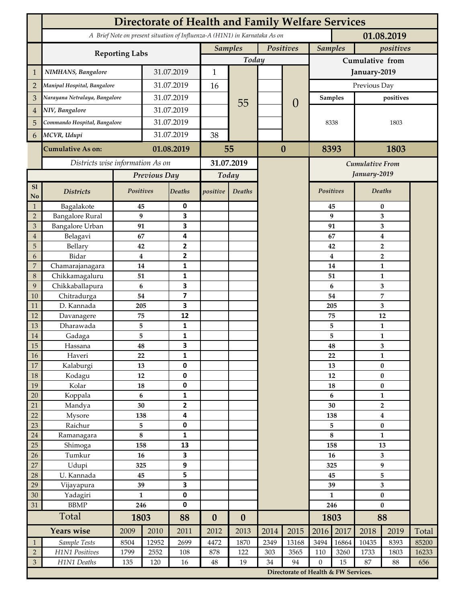|                             | <b>Directorate of Health and Family Welfare Services</b>                                 |                               |              |                          |                             |                          |      |                                      |                      |                             |                               |                |       |  |
|-----------------------------|------------------------------------------------------------------------------------------|-------------------------------|--------------|--------------------------|-----------------------------|--------------------------|------|--------------------------------------|----------------------|-----------------------------|-------------------------------|----------------|-------|--|
|                             | A Brief Note on present situation of Influenza-A (H1N1) in Karnataka As on<br>01.08.2019 |                               |              |                          |                             |                          |      |                                      |                      |                             |                               |                |       |  |
|                             |                                                                                          |                               |              |                          | Positives<br><b>Samples</b> |                          |      | <b>Samples</b><br>positives          |                      |                             |                               |                |       |  |
|                             | <b>Reporting Labs</b>                                                                    |                               |              |                          | Today                       |                          |      |                                      | Cumulative from      |                             |                               |                |       |  |
| $\mathbf 1$                 | NIMHANS, Bangalore                                                                       | 31.07.2019                    |              | $\mathbf{1}$             |                             |                          |      | January-2019                         |                      |                             |                               |                |       |  |
| $\overline{2}$              | Manipal Hospital, Bangalore                                                              |                               | 31.07.2019   |                          | 16                          |                          |      |                                      | Previous Day         |                             |                               |                |       |  |
| 3                           |                                                                                          | Narayana Netralaya, Bangalore |              | 31.07.2019               |                             |                          |      | $\overline{0}$                       |                      | <b>Samples</b><br>positives |                               |                |       |  |
| 4                           | NIV, Bangalore                                                                           |                               |              | 31.07.2019               |                             | 55                       |      |                                      |                      |                             |                               |                |       |  |
| 5                           | Commando Hospital, Bangalore                                                             |                               | 31.07.2019   |                          |                             |                          |      |                                      | 8338                 |                             | 1803                          |                |       |  |
|                             | MCVR, Udupi                                                                              |                               | 31.07.2019   |                          | 38                          |                          |      |                                      |                      |                             |                               |                |       |  |
| 6                           |                                                                                          |                               |              |                          |                             |                          |      |                                      |                      |                             |                               |                |       |  |
|                             | <b>Cumulative As on:</b>                                                                 | 01.08.2019                    |              | 55                       |                             | $\bf{0}$                 |      | 8393<br>1803                         |                      |                             |                               |                |       |  |
|                             | Districts wise information As on                                                         |                               |              | 31.07.2019               |                             |                          |      | Cumulative From                      |                      |                             |                               |                |       |  |
|                             |                                                                                          | Previous Day                  |              | Today                    |                             |                          |      |                                      |                      |                             | January-2019                  |                |       |  |
| S1<br>N <sub>o</sub>        | <b>Districts</b>                                                                         | Positives                     |              | <b>Deaths</b>            | positive                    | Deaths                   |      |                                      | <b>Positives</b>     |                             | <b>Deaths</b>                 |                |       |  |
| $\mathbf{1}$                | Bagalakote                                                                               | 45                            |              | 0                        |                             |                          |      |                                      |                      | 45                          | $\bf{0}$                      |                |       |  |
| $\mathbf 2$                 | <b>Bangalore Rural</b>                                                                   | 9                             |              | $\overline{\mathbf{3}}$  |                             |                          |      |                                      |                      | 9                           | 3                             |                |       |  |
| $\ensuremath{\mathfrak{Z}}$ | <b>Bangalore Urban</b>                                                                   | 91                            |              | 3<br>4                   |                             |                          |      |                                      |                      | 91                          | 3<br>4                        |                |       |  |
| 4<br>5                      | Belagavi<br>Bellary                                                                      | 67<br>42                      |              | $\overline{2}$           |                             |                          |      |                                      |                      | 67<br>42                    |                               | $\overline{2}$ |       |  |
| 6                           | Bidar                                                                                    | $\boldsymbol{4}$              |              | $\overline{2}$           |                             |                          |      |                                      |                      | $\overline{\mathbf{4}}$     | $\overline{2}$                |                |       |  |
| 7                           | Chamarajanagara                                                                          | 14                            |              | 1                        |                             |                          |      |                                      |                      | 14                          |                               | $\mathbf{1}$   |       |  |
| $\,8\,$                     | Chikkamagaluru                                                                           | 51                            |              | 1                        |                             |                          |      |                                      | 51<br>6<br>54<br>205 |                             |                               | 1              |       |  |
| 9                           | Chikkaballapura                                                                          | 6                             |              | $\overline{\mathbf{3}}$  |                             |                          |      |                                      |                      |                             |                               | 3              |       |  |
| 10                          | Chitradurga                                                                              | 54                            |              | $\overline{\mathbf{z}}$  |                             |                          |      |                                      |                      |                             |                               | 7              |       |  |
| 11                          | D. Kannada                                                                               | 205                           |              | 3                        |                             |                          |      |                                      |                      |                             |                               | 3              |       |  |
| 12                          | Davanagere                                                                               | 75                            |              | 12                       |                             |                          |      |                                      |                      | 75                          | 12                            |                |       |  |
| 13<br>14                    | Dharawada                                                                                | 5<br>5                        |              | 1<br>$\mathbf{1}$        |                             |                          |      |                                      |                      | 5<br>5                      | $\mathbf{1}$<br>$\mathbf{1}$  |                |       |  |
| 15                          | Gadaga<br>Hassana                                                                        | 48                            |              | $\overline{\mathbf{3}}$  |                             |                          |      |                                      |                      | 48                          | 3                             |                |       |  |
| 16                          | Haveri                                                                                   | 22                            |              | 1                        |                             |                          |      |                                      |                      | 22                          |                               | $\mathbf{1}$   |       |  |
| 17                          | Kalaburgi                                                                                | 13                            |              | $\mathbf 0$              |                             |                          |      |                                      | 13                   |                             | $\bf{0}$                      |                |       |  |
| $18\,$                      | Kodagu                                                                                   | 12                            |              | $\pmb{0}$                |                             |                          |      |                                      | $12\,$               |                             | $\pmb{0}$                     |                |       |  |
| 19                          | Kolar                                                                                    | 18                            |              | $\pmb{0}$                |                             |                          |      |                                      | 18                   |                             | $\bf{0}$                      |                |       |  |
| 20                          | Koppala                                                                                  | $\boldsymbol{6}$              |              | $\mathbf 1$              |                             |                          |      |                                      | 6                    |                             | $\mathbf{1}$                  |                |       |  |
| 21                          | Mandya                                                                                   | 30                            |              | $\mathbf{2}$             |                             |                          |      |                                      | 30                   |                             | $\overline{2}$                |                |       |  |
| 22<br>$23\,$                | Mysore<br>Raichur                                                                        | 138                           |              | 4<br>$\pmb{0}$           |                             |                          |      |                                      | 138<br>5             |                             | $\boldsymbol{4}$<br>$\pmb{0}$ |                |       |  |
| $24\,$                      | Ramanagara                                                                               | 5<br>8                        |              | $\mathbf{1}$             |                             |                          |      |                                      | $\bf 8$              |                             | 1                             |                |       |  |
| 25                          | Shimoga                                                                                  | 158                           |              | 13                       |                             |                          |      |                                      | 158                  |                             | 13                            |                |       |  |
| 26                          | Tumkur                                                                                   | 16                            |              | $\overline{\mathbf{3}}$  |                             |                          |      |                                      |                      | 16                          | 3                             |                |       |  |
| 27                          | Udupi                                                                                    | 325                           |              | 9                        |                             |                          |      |                                      | 325                  |                             | 9                             |                |       |  |
| $28\,$                      | U. Kannada                                                                               | 45                            |              | 5                        |                             |                          |      |                                      |                      | 45                          |                               | 5              |       |  |
| 29                          | Vijayapura                                                                               | 39                            |              | $\overline{\mathbf{3}}$  |                             |                          |      |                                      | 39                   |                             | 3                             |                |       |  |
| 30                          | Yadagiri<br><b>BBMP</b>                                                                  | $\mathbf{1}$<br>246           |              | $\pmb{0}$<br>$\mathbf 0$ |                             |                          |      |                                      | $\mathbf{1}$<br>246  |                             | $\bf{0}$<br>$\bf{0}$          |                |       |  |
| 31                          | Total                                                                                    |                               | 1803         |                          |                             |                          |      |                                      | 1803                 |                             | 88                            |                |       |  |
|                             | <b>Years wise</b>                                                                        |                               | 2009<br>2010 |                          | $\boldsymbol{0}$<br>2012    | $\boldsymbol{0}$<br>2013 | 2014 | 2015                                 | 2016                 | 2017                        | 2018                          | 2019           | Total |  |
| $\mathbf{1}$                | Sample Tests                                                                             | 8504                          | 12952        | 2011<br>2699             | 4472                        | 1870                     | 2349 | 13168                                | 3494                 | 16864                       | 10435                         | 8393           | 85200 |  |
| $\overline{2}$              | H1N1 Positives                                                                           | 1799                          | 2552         | 108                      | 878                         | 122                      | 303  | 3565                                 | 110                  | 3260                        | 1733                          | 1803           | 16233 |  |
| $\ensuremath{\mathfrak{Z}}$ | H1N1 Deaths                                                                              | 135                           | 120          | 16                       | $\rm 48$                    | 19                       | 34   | 94                                   | $\boldsymbol{0}$     | 15                          | 87                            | 88             | 656   |  |
|                             |                                                                                          |                               |              |                          |                             |                          |      | Directorate of Health & FW Services. |                      |                             |                               |                |       |  |